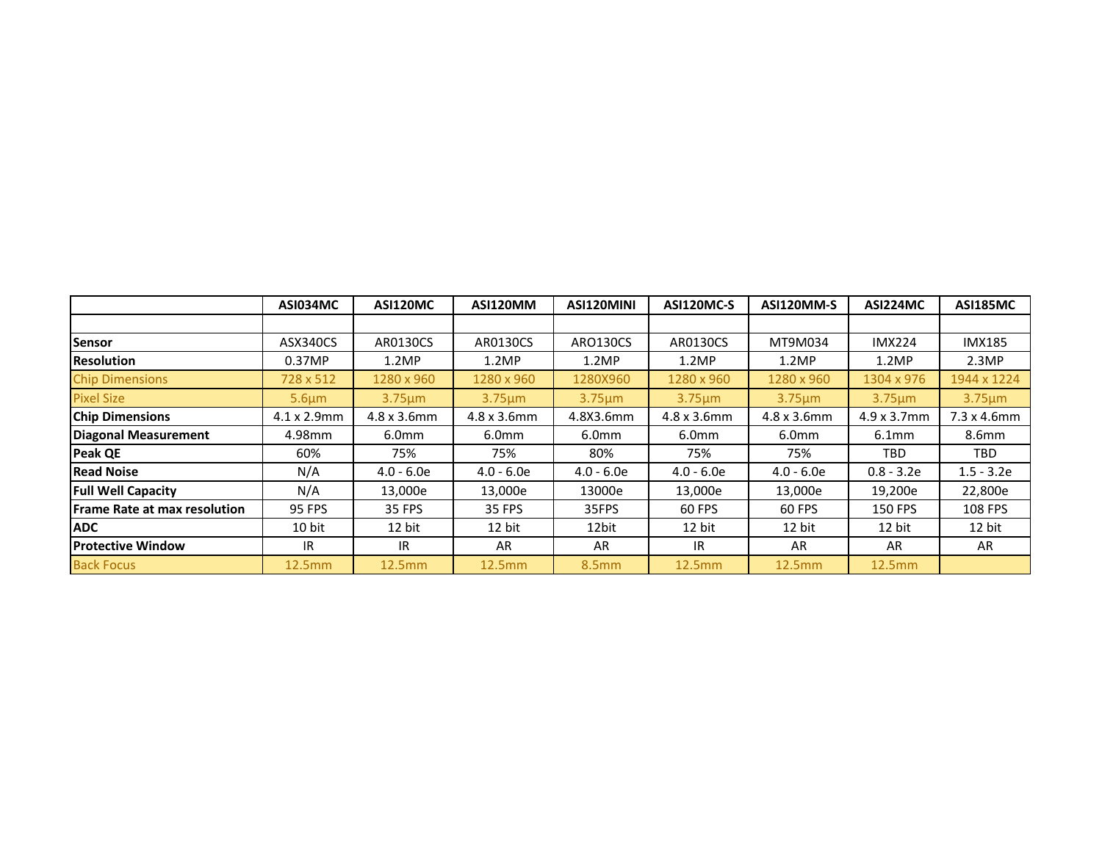|                                     | ASI034MC            | ASI120MC      | ASI120MM            | ASI120MINI        | ASI120MC-S   | ASI120MM-S          | ASI224MC            | <b>ASI185MC</b>     |
|-------------------------------------|---------------------|---------------|---------------------|-------------------|--------------|---------------------|---------------------|---------------------|
|                                     |                     |               |                     |                   |              |                     |                     |                     |
| Sensor                              | ASX340CS            | AR0130CS      | AR0130CS            | ARO130CS          | AR0130CS     | MT9M034             | <b>IMX224</b>       | <b>IMX185</b>       |
| <b>Resolution</b>                   | 0.37MP              | 1.2MP         | 1.2MP               | 1.2MP             | 1.2MP        | 1.2MP               | 1.2MP               | 2.3MP               |
| <b>Chip Dimensions</b>              | 728 x 512           | 1280 x 960    | 1280 x 960          | 1280X960          | 1280 x 960   | 1280 x 960          | 1304 x 976          | 1944 x 1224         |
| <b>Pixel Size</b>                   | $5.6 \mu m$         | $3.75 \mu m$  | $3.75 \mu m$        | $3.75 \mu m$      | $3.75 \mu m$ | $3.75 \mu m$        | $3.75 \mu m$        | $3.75 \mu m$        |
| <b>Chip Dimensions</b>              | $4.1 \times 2.9$ mm | 4.8 x 3.6mm   | $4.8 \times 3.6$ mm | 4.8X3.6mm         | 4.8 x 3.6mm  | $4.8 \times 3.6$ mm | $4.9 \times 3.7$ mm | $7.3 \times 4.6$ mm |
| <b>Diagonal Measurement</b>         | 4.98mm              | 6.0mm         | 6.0 <sub>mm</sub>   | 6.0 <sub>mm</sub> | 6.0mm        | 6.0 <sub>mm</sub>   | 6.1 <sub>mm</sub>   | 8.6mm               |
| <b>Peak QE</b>                      | 60%                 | 75%           | 75%                 | 80%               | 75%          | 75%                 | TBD                 | TBD                 |
| <b>Read Noise</b>                   | N/A                 | $4.0 - 6.0e$  | $4.0 - 6.0e$        | $4.0 - 6.0e$      | $4.0 - 6.0e$ | $4.0 - 6.0e$        | $0.8 - 3.2e$        | $1.5 - 3.2e$        |
| <b>Full Well Capacity</b>           | N/A                 | 13,000e       | 13,000e             | 13000e            | 13,000e      | 13,000e             | 19,200e             | 22,800e             |
| <b>Frame Rate at max resolution</b> | <b>95 FPS</b>       | <b>35 FPS</b> | <b>35 FPS</b>       | 35FPS             | 60 FPS       | 60 FPS              | <b>150 FPS</b>      | 108 FPS             |
| <b>ADC</b>                          | 10 bit              | 12 bit        | 12 bit              | 12bit             | 12 bit       | 12 bit              | 12 bit              | 12 bit              |
| <b>Protective Window</b>            | IR                  | IR.           | AR                  | AR                | IR.          | AR                  | AR                  | AR                  |
| <b>Back Focus</b>                   | 12.5mm              | 12.5mm        | 12.5mm              | <b>8.5mm</b>      | 12.5mm       | 12.5mm              | 12.5mm              |                     |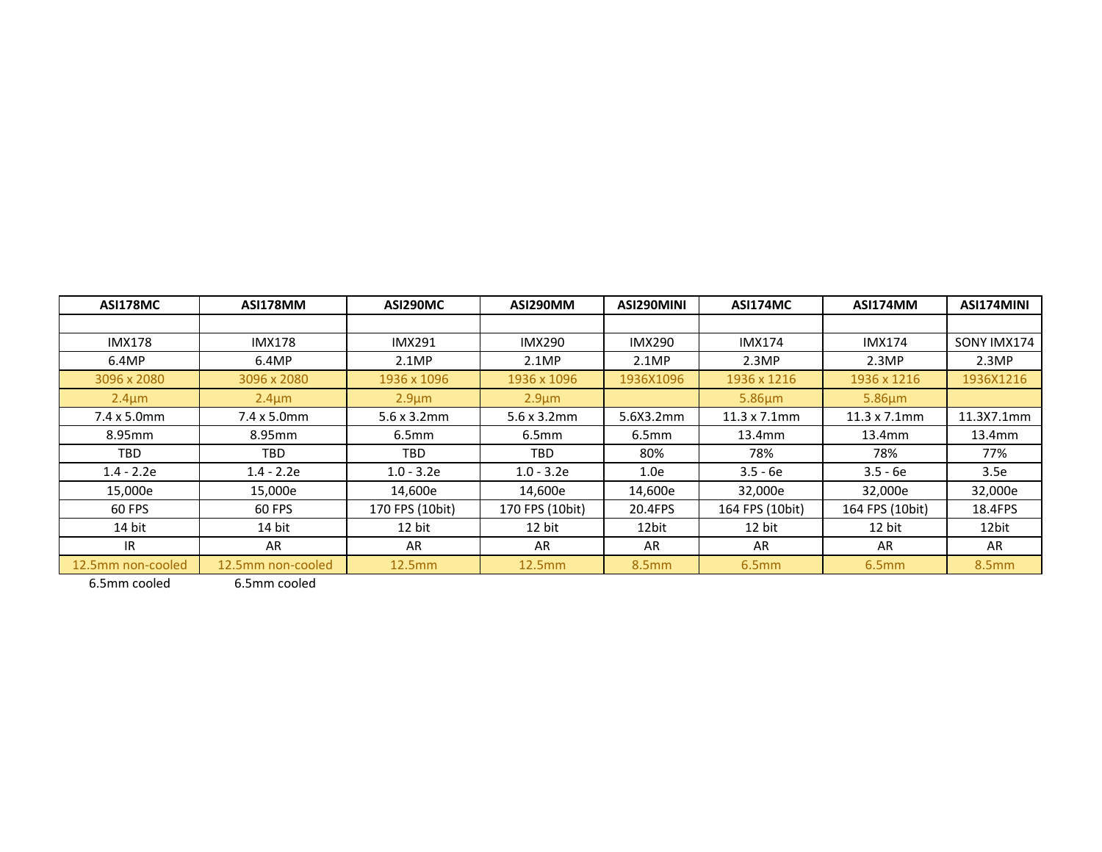| <b>ASI178MC</b>     | <b>ASI178MM</b>     | ASI290MC            | ASI290MM            | ASI290MINI    | <b>ASI174MC</b>      | ASI174MM             | ASI174MINI  |
|---------------------|---------------------|---------------------|---------------------|---------------|----------------------|----------------------|-------------|
|                     |                     |                     |                     |               |                      |                      |             |
| <b>IMX178</b>       | <b>IMX178</b>       | <b>IMX291</b>       | <b>IMX290</b>       | <b>IMX290</b> | <b>IMX174</b>        | <b>IMX174</b>        | SONY IMX174 |
| 6.4MP               | 6.4MP               | 2.1MP               | 2.1MP               | 2.1MP         | 2.3MP                | 2.3MP                | 2.3MP       |
| 3096 x 2080         | 3096 x 2080         | 1936 x 1096         | 1936 x 1096         | 1936X1096     | 1936 x 1216          | 1936 x 1216          | 1936X1216   |
| $2.4 \mu m$         | $2.4 \mu m$         | $2.9 \mu m$         | $2.9 \mu m$         |               | $5.86 \mu m$         | $5.86 \mu m$         |             |
| $7.4 \times 5.0$ mm | $7.4 \times 5.0$ mm | $5.6 \times 3.2$ mm | $5.6 \times 3.2$ mm | 5.6X3.2mm     | $11.3 \times 7.1$ mm | $11.3 \times 7.1$ mm | 11.3X7.1mm  |
| 8.95mm              | 8.95mm              | 6.5 <sub>mm</sub>   | 6.5 <sub>mm</sub>   | 6.5mm         | 13.4mm               | 13.4mm               | 13.4mm      |
| TBD                 | TBD                 | TBD.                | TBD.                | 80%           | 78%                  | 78%                  | 77%         |
| $1.4 - 2.2e$        | $1.4 - 2.2e$        | $1.0 - 3.2e$        | $1.0 - 3.2e$        | 1.0e          | $3.5 - 6e$           | $3.5 - 6e$           | 3.5e        |
| 15,000e             | 15,000e             | 14,600e             | 14,600e             | 14,600e       | 32,000e              | 32,000e              | 32,000e     |
| 60 FPS              | 60 FPS              | 170 FPS (10bit)     | 170 FPS (10bit)     | 20.4FPS       | 164 FPS (10bit)      | 164 FPS (10bit)      | 18.4FPS     |
| 14 bit              | 14 bit              | 12 bit              | 12 bit              | 12bit         | 12 bit               | 12 bit               | 12bit       |
| IR.                 | AR                  | AR                  | AR                  | AR            | AR                   | AR                   | AR          |
| 12.5mm non-cooled   | 12.5mm non-cooled   | 12.5mm              | 12.5mm              | 8.5mm         | 6.5mm                | 6.5mm                | 8.5mm       |

6.5mm cooled 6.5mm cooled